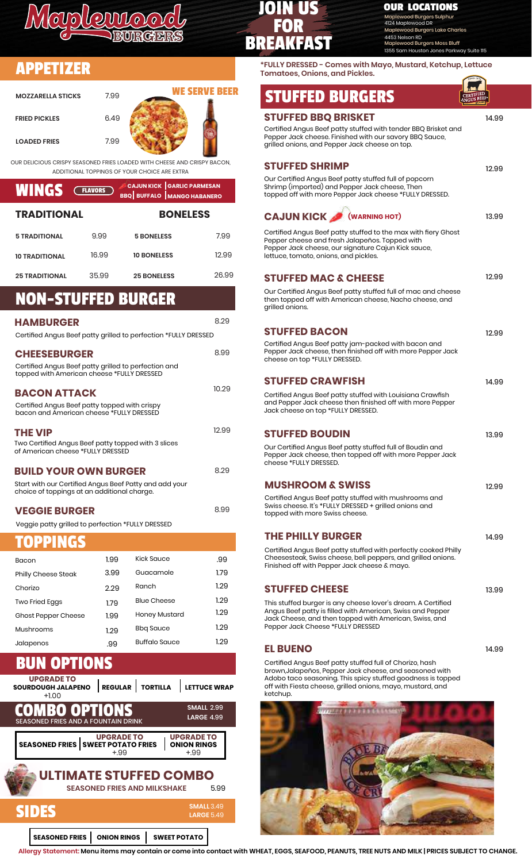

APPETIZER

## JOIN US FOR BREAKFAST

### **OUR LOCATIONS**

Maplewood Burgers Sulphur 4124 Maplewood DR od Burgers Lake Charles 4453 Nelson RD –<br>urgers Moss Bluff **Houston Jones Parkway Suite 115** 

**\*FULLY DRESSED - Comes with Mayo, Mustard, Ketchup, Lettuce Tomatoes, Onions, and Pickles.**

| <b>WE SERVE BEER</b><br><b>STUFFED BURGERS</b><br>7.99<br><b>MOZZARELLA STICKS</b><br><b>STUFFED BBQ BRISKET</b><br>6.49<br><b>FRIED PICKLES</b><br>Certified Angus Beef patty stuffed with tender BBQ Brisket and<br>Pepper Jack cheese. Finished with our savory BBQ Sauce,<br>7.99<br><b>LOADED FRIES</b><br>grilled onions, and Pepper Jack cheese on top.<br><b>STUFFED SHRIMP</b><br>ADDITIONAL TOPPINGS OF YOUR CHOICE ARE EXTRA<br>Our Certified Angus Beef patty stuffed full of popcorn<br><b>CAJUN KICK GARLIC PARMESAN</b><br>Shrimp (imported) and Pepper Jack cheese, Then<br><b>WINGS</b><br><b>FLAVORS</b><br>topped off with more Pepper Jack cheese *FULLY DRESSED.<br><b>BBQ BUFFALO MANGO HABANERO</b><br><b>TRADITIONAL</b><br><b>BONELESS</b><br><b>CAJUN KICK</b><br>(WARNING HOT)<br>Certified Angus Beef patty stuffed to the max with fiery Ghost<br>7.99<br>9.99<br><b>5 TRADITIONAL</b><br><b>5 BONELESS</b><br>Pepper cheese and fresh Jalapeños. Topped with<br>Pepper Jack cheese, our signature Cajun Kick sauce,<br>16.99<br>12.99<br><b>10 BONELESS</b><br>lettuce, tomato, onions, and pickles.<br><b>10 TRADITIONAL</b> |                         |
|-------------------------------------------------------------------------------------------------------------------------------------------------------------------------------------------------------------------------------------------------------------------------------------------------------------------------------------------------------------------------------------------------------------------------------------------------------------------------------------------------------------------------------------------------------------------------------------------------------------------------------------------------------------------------------------------------------------------------------------------------------------------------------------------------------------------------------------------------------------------------------------------------------------------------------------------------------------------------------------------------------------------------------------------------------------------------------------------------------------------------------------------------------------|-------------------------|
|                                                                                                                                                                                                                                                                                                                                                                                                                                                                                                                                                                                                                                                                                                                                                                                                                                                                                                                                                                                                                                                                                                                                                             | 14.99<br>12.99<br>13.99 |
|                                                                                                                                                                                                                                                                                                                                                                                                                                                                                                                                                                                                                                                                                                                                                                                                                                                                                                                                                                                                                                                                                                                                                             |                         |
| )UR DELICIOUS CRISPY SEASONED FRIES LOADED WITH CHEESE AND CRISPY BACON,                                                                                                                                                                                                                                                                                                                                                                                                                                                                                                                                                                                                                                                                                                                                                                                                                                                                                                                                                                                                                                                                                    |                         |
|                                                                                                                                                                                                                                                                                                                                                                                                                                                                                                                                                                                                                                                                                                                                                                                                                                                                                                                                                                                                                                                                                                                                                             |                         |
|                                                                                                                                                                                                                                                                                                                                                                                                                                                                                                                                                                                                                                                                                                                                                                                                                                                                                                                                                                                                                                                                                                                                                             |                         |
|                                                                                                                                                                                                                                                                                                                                                                                                                                                                                                                                                                                                                                                                                                                                                                                                                                                                                                                                                                                                                                                                                                                                                             |                         |
|                                                                                                                                                                                                                                                                                                                                                                                                                                                                                                                                                                                                                                                                                                                                                                                                                                                                                                                                                                                                                                                                                                                                                             |                         |
|                                                                                                                                                                                                                                                                                                                                                                                                                                                                                                                                                                                                                                                                                                                                                                                                                                                                                                                                                                                                                                                                                                                                                             |                         |
| 26.99<br>35.99<br><b>25 TRADITIONAL</b><br><b>25 BONELESS</b><br><b>STUFFED MAC &amp; CHEESE</b>                                                                                                                                                                                                                                                                                                                                                                                                                                                                                                                                                                                                                                                                                                                                                                                                                                                                                                                                                                                                                                                            | 12.99                   |
| Our Certified Angus Beef patty stuffed full of mac and cheese<br><b>NON-STUFFED BURGER</b><br>then topped off with American cheese, Nacho cheese, and<br>grilled onions.                                                                                                                                                                                                                                                                                                                                                                                                                                                                                                                                                                                                                                                                                                                                                                                                                                                                                                                                                                                    |                         |
| 8.29<br><b>HAMBURGER</b>                                                                                                                                                                                                                                                                                                                                                                                                                                                                                                                                                                                                                                                                                                                                                                                                                                                                                                                                                                                                                                                                                                                                    |                         |
| <b>STUFFED BACON</b><br>Certified Angus Beef patty grilled to perfection *FULLY DRESSED                                                                                                                                                                                                                                                                                                                                                                                                                                                                                                                                                                                                                                                                                                                                                                                                                                                                                                                                                                                                                                                                     | 12.99                   |
| Certified Angus Beef patty jam-packed with bacon and<br>Pepper Jack cheese, then finished off with more Pepper Jack<br>8.99<br><b>CHEESEBURGER</b><br>cheese on top *FULLY DRESSED.                                                                                                                                                                                                                                                                                                                                                                                                                                                                                                                                                                                                                                                                                                                                                                                                                                                                                                                                                                         |                         |
| Certified Angus Beef patty grilled to perfection and<br>topped with American cheese *FULLY DRESSED                                                                                                                                                                                                                                                                                                                                                                                                                                                                                                                                                                                                                                                                                                                                                                                                                                                                                                                                                                                                                                                          |                         |
| <b>STUFFED CRAWFISH</b>                                                                                                                                                                                                                                                                                                                                                                                                                                                                                                                                                                                                                                                                                                                                                                                                                                                                                                                                                                                                                                                                                                                                     | 14.99                   |
| 10.29<br><b>BACON ATTACK</b><br>Certified Angus Beef patty stuffed with Louisiana Crawfish<br>and Pepper Jack cheese then finished off with more Pepper<br>Certified Angus Beef patty topped with crispy<br>Jack cheese on top *FULLY DRESSED.<br>bacon and American cheese *FULLY DRESSED                                                                                                                                                                                                                                                                                                                                                                                                                                                                                                                                                                                                                                                                                                                                                                                                                                                                  |                         |
| 12.99<br><b>THE VIP</b><br><b>STUFFED BOUDIN</b>                                                                                                                                                                                                                                                                                                                                                                                                                                                                                                                                                                                                                                                                                                                                                                                                                                                                                                                                                                                                                                                                                                            | 13.99                   |
| Two Certified Angus Beef patty topped with 3 slices<br>Our Certified Angus Beef patty stuffed full of Boudin and<br>of American cheese *FULLY DRESSED<br>Pepper Jack cheese, then topped off with more Pepper Jack                                                                                                                                                                                                                                                                                                                                                                                                                                                                                                                                                                                                                                                                                                                                                                                                                                                                                                                                          |                         |
| cheese *FULLY DRESSED.<br>8.29<br><b>BUILD YOUR OWN BURGER</b>                                                                                                                                                                                                                                                                                                                                                                                                                                                                                                                                                                                                                                                                                                                                                                                                                                                                                                                                                                                                                                                                                              |                         |
| <b>MUSHROOM &amp; SWISS</b><br>Start with our Certified Angus Beef Patty and add your                                                                                                                                                                                                                                                                                                                                                                                                                                                                                                                                                                                                                                                                                                                                                                                                                                                                                                                                                                                                                                                                       | 12.99                   |
| choice of toppings at an additional charge.<br>Certified Angus Beef patty stuffed with mushrooms and<br>Swiss cheese. It's *FULLY DRESSED + grilled onions and<br>8.99<br><b>VEGGIE BURGER</b><br>topped with more Swiss cheese.                                                                                                                                                                                                                                                                                                                                                                                                                                                                                                                                                                                                                                                                                                                                                                                                                                                                                                                            |                         |
| Veggie patty grilled to perfection *FULLY DRESSED                                                                                                                                                                                                                                                                                                                                                                                                                                                                                                                                                                                                                                                                                                                                                                                                                                                                                                                                                                                                                                                                                                           |                         |
| <b>THE PHILLY BURGER</b><br>TOPPINGS                                                                                                                                                                                                                                                                                                                                                                                                                                                                                                                                                                                                                                                                                                                                                                                                                                                                                                                                                                                                                                                                                                                        | 14.99                   |
| Certified Angus Beef patty stuffed with perfectly cooked Philly<br>Cheesesteak, Swiss cheese, bell peppers, and grilled onions.<br><b>Kick Sauce</b><br>.99<br>1.99<br>Bacon                                                                                                                                                                                                                                                                                                                                                                                                                                                                                                                                                                                                                                                                                                                                                                                                                                                                                                                                                                                |                         |
| Finished off with Pepper Jack cheese & mayo.<br>1.79<br>3.99<br>Guacamole<br>Philly Cheese Steak                                                                                                                                                                                                                                                                                                                                                                                                                                                                                                                                                                                                                                                                                                                                                                                                                                                                                                                                                                                                                                                            |                         |
| 1.29<br>Ranch<br>2.29<br>Chorizo<br><b>STUFFED CHEESE</b>                                                                                                                                                                                                                                                                                                                                                                                                                                                                                                                                                                                                                                                                                                                                                                                                                                                                                                                                                                                                                                                                                                   | 13.99                   |
| 1.29<br><b>Blue Cheese</b><br>Two Fried Eggs<br>1.79<br>This stuffed burger is any cheese lover's dream. A Certified                                                                                                                                                                                                                                                                                                                                                                                                                                                                                                                                                                                                                                                                                                                                                                                                                                                                                                                                                                                                                                        |                         |
| Angus Beef patty is filled with American, Swiss and Pepper<br>1.29<br>Honey Mustard<br>1.99<br>Ghost Pepper Cheese<br>Jack Cheese, and then topped with American, Swiss, and                                                                                                                                                                                                                                                                                                                                                                                                                                                                                                                                                                                                                                                                                                                                                                                                                                                                                                                                                                                |                         |
| Pepper Jack Cheese *FULLY DRESSED<br>1.29<br><b>Bbq Sauce</b><br>Mushrooms<br>1.29                                                                                                                                                                                                                                                                                                                                                                                                                                                                                                                                                                                                                                                                                                                                                                                                                                                                                                                                                                                                                                                                          |                         |
| 1.29<br><b>Buffalo Sauce</b><br>Jalapenos<br>.99<br><b>EL BUENO</b>                                                                                                                                                                                                                                                                                                                                                                                                                                                                                                                                                                                                                                                                                                                                                                                                                                                                                                                                                                                                                                                                                         | 14.99                   |
| <b>BUN OPTIONS</b><br>Certified Angus Beef patty stuffed full of Chorizo, hash<br>brown, Jalapeños, Pepper Jack cheese, and seasoned with<br><b>UPGRADE TO</b><br>Adobo taco seasoning. This spicy stuffed goodness is topped<br>REGULAR   TORTILLA<br>off with Fiesta cheese, grilled onions, mayo, mustard, and<br><b>LETTUCE WRAP</b><br>SOURDOUGH JALAPENO                                                                                                                                                                                                                                                                                                                                                                                                                                                                                                                                                                                                                                                                                                                                                                                              |                         |



COMBO OPTIONS **LARGE SMALL 2.99** +.99+.99 +1.00 **UPGRADE TO UPGRADE TO** SEASONED FRIES AND A FOUNTAIN DRINK 5.99 **SEASONED FRIES | SWEET POTATO FRIES<br>+.99 SOURDOUGH JALAPENO REGULAR TORTILLA LETTUCE WRAP ONION RINGS ULTIMATE STUFFED COMBO SEASONED FRIES AND MILKSHAKE**

#### SIDES **SEASONED FRIES | ONION RINGS | SWEET POTATO SMALL LARGE** 3.49 5.49

**Allergy Statement: Menu items may contain or come into contact with WHEAT, EGGS, SEAFOOD, PEANUTS, TREE NUTS AND MILK | PRICES SUBJECT TO CHANGE.**